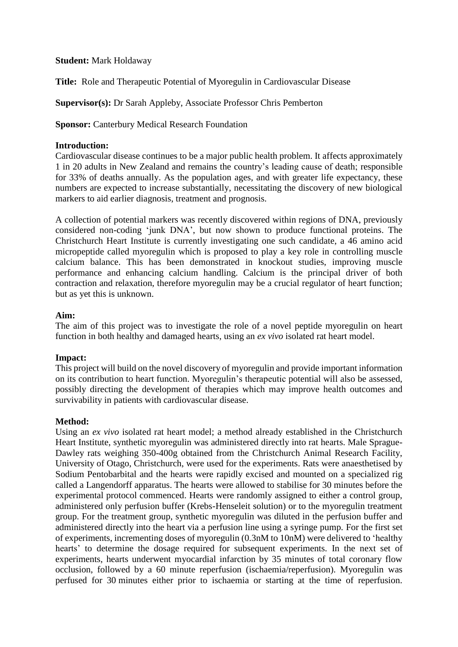### **Student:** Mark Holdaway

**Title:** Role and Therapeutic Potential of Myoregulin in Cardiovascular Disease

**Supervisor(s):** Dr Sarah Appleby, Associate Professor Chris Pemberton

**Sponsor: Canterbury Medical Research Foundation** 

# **Introduction:**

Cardiovascular disease continues to be a major public health problem. It affects approximately 1 in 20 adults in New Zealand and remains the country's leading cause of death; responsible for 33% of deaths annually. As the population ages, and with greater life expectancy, these numbers are expected to increase substantially, necessitating the discovery of new biological markers to aid earlier diagnosis, treatment and prognosis.

A collection of potential markers was recently discovered within regions of DNA, previously considered non-coding 'junk DNA', but now shown to produce functional proteins. The Christchurch Heart Institute is currently investigating one such candidate, a 46 amino acid micropeptide called myoregulin which is proposed to play a key role in controlling muscle calcium balance. This has been demonstrated in knockout studies, improving muscle performance and enhancing calcium handling. Calcium is the principal driver of both contraction and relaxation, therefore myoregulin may be a crucial regulator of heart function; but as yet this is unknown.

# **Aim:**

The aim of this project was to investigate the role of a novel peptide myoregulin on heart function in both healthy and damaged hearts, using an *ex vivo* isolated rat heart model.

### **Impact:**

This project will build on the novel discovery of myoregulin and provide important information on its contribution to heart function. Myoregulin's therapeutic potential will also be assessed, possibly directing the development of therapies which may improve health outcomes and survivability in patients with cardiovascular disease.

### **Method:**

Using an *ex vivo* isolated rat heart model; a method already established in the Christchurch Heart Institute, synthetic myoregulin was administered directly into rat hearts. Male Sprague-Dawley rats weighing 350-400g obtained from the Christchurch Animal Research Facility, University of Otago, Christchurch, were used for the experiments. Rats were anaesthetised by Sodium Pentobarbital and the hearts were rapidly excised and mounted on a specialized rig called a Langendorff apparatus. The hearts were allowed to stabilise for 30 minutes before the experimental protocol commenced. Hearts were randomly assigned to either a control group, administered only perfusion buffer (Krebs-Henseleit solution) or to the myoregulin treatment group. For the treatment group, synthetic myoregulin was diluted in the perfusion buffer and administered directly into the heart via a perfusion line using a syringe pump. For the first set of experiments, incrementing doses of myoregulin (0.3nM to 10nM) were delivered to 'healthy hearts' to determine the dosage required for subsequent experiments. In the next set of experiments, hearts underwent myocardial infarction by 35 minutes of total coronary flow occlusion, followed by a 60 minute reperfusion (ischaemia/reperfusion). Myoregulin was perfused for 30 minutes either prior to ischaemia or starting at the time of reperfusion.